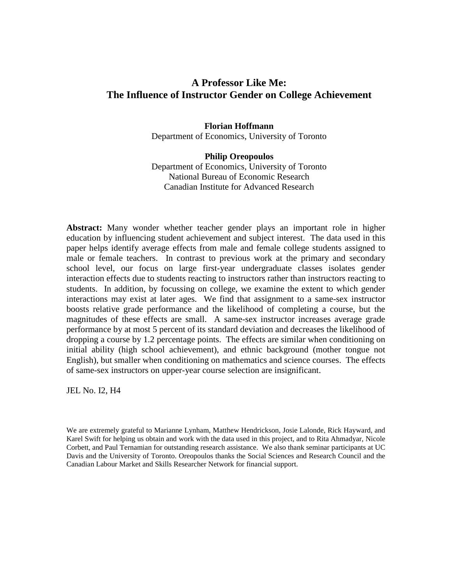# **A Professor Like Me: The Influence of Instructor Gender on College Achievement**

## **Florian Hoffmann**  Department of Economics, University of Toronto

#### **Philip Oreopoulos**

Department of Economics, University of Toronto National Bureau of Economic Research Canadian Institute for Advanced Research

**Abstract:** Many wonder whether teacher gender plays an important role in higher education by influencing student achievement and subject interest. The data used in this paper helps identify average effects from male and female college students assigned to male or female teachers. In contrast to previous work at the primary and secondary school level, our focus on large first-year undergraduate classes isolates gender interaction effects due to students reacting to instructors rather than instructors reacting to students. In addition, by focussing on college, we examine the extent to which gender interactions may exist at later ages. We find that assignment to a same-sex instructor boosts relative grade performance and the likelihood of completing a course, but the magnitudes of these effects are small. A same-sex instructor increases average grade performance by at most 5 percent of its standard deviation and decreases the likelihood of dropping a course by 1.2 percentage points. The effects are similar when conditioning on initial ability (high school achievement), and ethnic background (mother tongue not English), but smaller when conditioning on mathematics and science courses. The effects of same-sex instructors on upper-year course selection are insignificant.

JEL No. I2, H4

We are extremely grateful to Marianne Lynham, Matthew Hendrickson, Josie Lalonde, Rick Hayward, and Karel Swift for helping us obtain and work with the data used in this project, and to Rita Ahmadyar, Nicole Corbett, and Paul Ternamian for outstanding research assistance. We also thank seminar participants at UC Davis and the University of Toronto. Oreopoulos thanks the Social Sciences and Research Council and the Canadian Labour Market and Skills Researcher Network for financial support.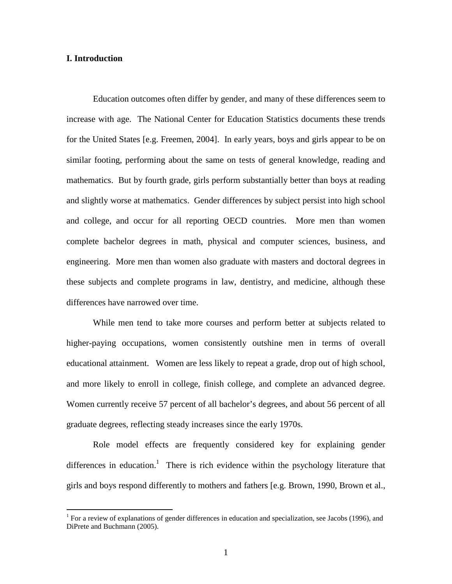#### **I. Introduction**

Education outcomes often differ by gender, and many of these differences seem to increase with age. The National Center for Education Statistics documents these trends for the United States [e.g. Freemen, 2004]. In early years, boys and girls appear to be on similar footing, performing about the same on tests of general knowledge, reading and mathematics. But by fourth grade, girls perform substantially better than boys at reading and slightly worse at mathematics. Gender differences by subject persist into high school and college, and occur for all reporting OECD countries. More men than women complete bachelor degrees in math, physical and computer sciences, business, and engineering. More men than women also graduate with masters and doctoral degrees in these subjects and complete programs in law, dentistry, and medicine, although these differences have narrowed over time.

 While men tend to take more courses and perform better at subjects related to higher-paying occupations, women consistently outshine men in terms of overall educational attainment. Women are less likely to repeat a grade, drop out of high school, and more likely to enroll in college, finish college, and complete an advanced degree. Women currently receive 57 percent of all bachelor's degrees, and about 56 percent of all graduate degrees, reflecting steady increases since the early 1970s.

Role model effects are frequently considered key for explaining gender differences in education.<sup>1</sup> There is rich evidence within the psychology literature that girls and boys respond differently to mothers and fathers [e.g. Brown, 1990, Brown et al.,

<sup>&</sup>lt;sup>1</sup> For a review of explanations of gender differences in education and specialization, see Jacobs (1996), and <sup>1</sup> DiPrete and Buchmann (2005).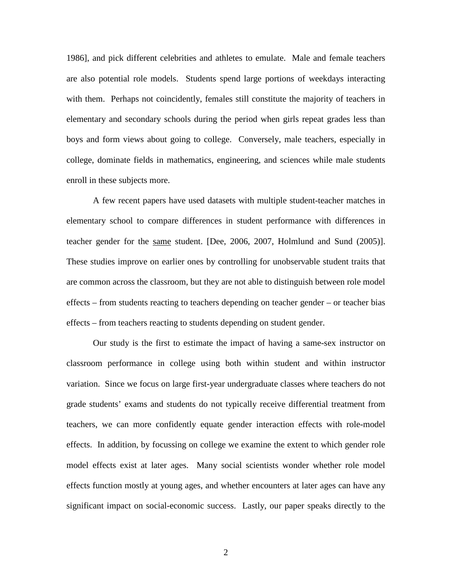1986], and pick different celebrities and athletes to emulate. Male and female teachers are also potential role models. Students spend large portions of weekdays interacting with them. Perhaps not coincidently, females still constitute the majority of teachers in elementary and secondary schools during the period when girls repeat grades less than boys and form views about going to college. Conversely, male teachers, especially in college, dominate fields in mathematics, engineering, and sciences while male students enroll in these subjects more.

A few recent papers have used datasets with multiple student-teacher matches in elementary school to compare differences in student performance with differences in teacher gender for the same student. [Dee, 2006, 2007, Holmlund and Sund (2005)]. These studies improve on earlier ones by controlling for unobservable student traits that are common across the classroom, but they are not able to distinguish between role model effects – from students reacting to teachers depending on teacher gender – or teacher bias effects – from teachers reacting to students depending on student gender.

 Our study is the first to estimate the impact of having a same-sex instructor on classroom performance in college using both within student and within instructor variation. Since we focus on large first-year undergraduate classes where teachers do not grade students' exams and students do not typically receive differential treatment from teachers, we can more confidently equate gender interaction effects with role-model effects. In addition, by focussing on college we examine the extent to which gender role model effects exist at later ages. Many social scientists wonder whether role model effects function mostly at young ages, and whether encounters at later ages can have any significant impact on social-economic success. Lastly, our paper speaks directly to the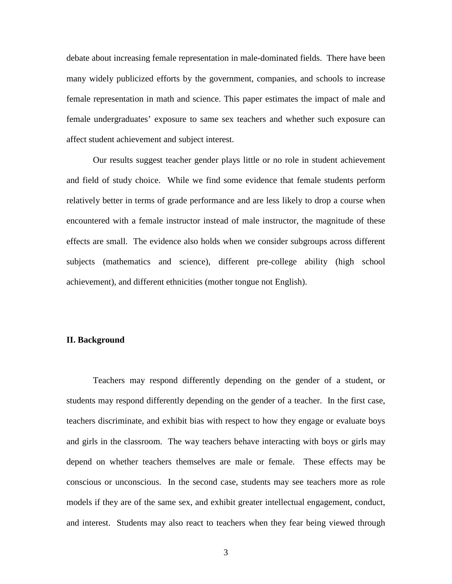debate about increasing female representation in male-dominated fields. There have been many widely publicized efforts by the government, companies, and schools to increase female representation in math and science. This paper estimates the impact of male and female undergraduates' exposure to same sex teachers and whether such exposure can affect student achievement and subject interest.

 Our results suggest teacher gender plays little or no role in student achievement and field of study choice. While we find some evidence that female students perform relatively better in terms of grade performance and are less likely to drop a course when encountered with a female instructor instead of male instructor, the magnitude of these effects are small. The evidence also holds when we consider subgroups across different subjects (mathematics and science), different pre-college ability (high school achievement), and different ethnicities (mother tongue not English).

#### **II. Background**

Teachers may respond differently depending on the gender of a student, or students may respond differently depending on the gender of a teacher. In the first case, teachers discriminate, and exhibit bias with respect to how they engage or evaluate boys and girls in the classroom. The way teachers behave interacting with boys or girls may depend on whether teachers themselves are male or female. These effects may be conscious or unconscious. In the second case, students may see teachers more as role models if they are of the same sex, and exhibit greater intellectual engagement, conduct, and interest. Students may also react to teachers when they fear being viewed through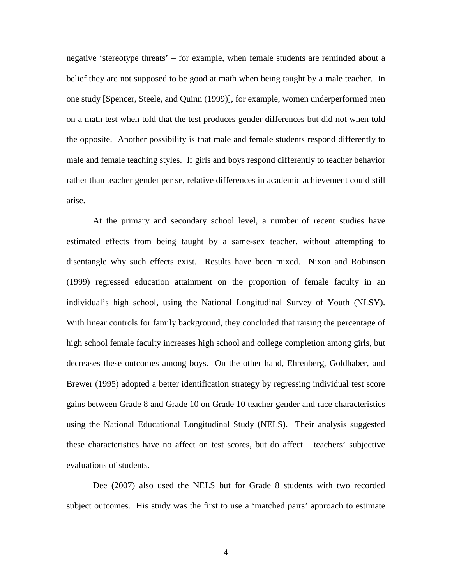negative 'stereotype threats' – for example, when female students are reminded about a belief they are not supposed to be good at math when being taught by a male teacher. In one study [Spencer, Steele, and Quinn (1999)], for example, women underperformed men on a math test when told that the test produces gender differences but did not when told the opposite. Another possibility is that male and female students respond differently to male and female teaching styles. If girls and boys respond differently to teacher behavior rather than teacher gender per se, relative differences in academic achievement could still arise.

At the primary and secondary school level, a number of recent studies have estimated effects from being taught by a same-sex teacher, without attempting to disentangle why such effects exist. Results have been mixed. Nixon and Robinson (1999) regressed education attainment on the proportion of female faculty in an individual's high school, using the National Longitudinal Survey of Youth (NLSY). With linear controls for family background, they concluded that raising the percentage of high school female faculty increases high school and college completion among girls, but decreases these outcomes among boys. On the other hand, Ehrenberg, Goldhaber, and Brewer (1995) adopted a better identification strategy by regressing individual test score gains between Grade 8 and Grade 10 on Grade 10 teacher gender and race characteristics using the National Educational Longitudinal Study (NELS). Their analysis suggested these characteristics have no affect on test scores, but do affect teachers' subjective evaluations of students.

Dee (2007) also used the NELS but for Grade 8 students with two recorded subject outcomes. His study was the first to use a 'matched pairs' approach to estimate

4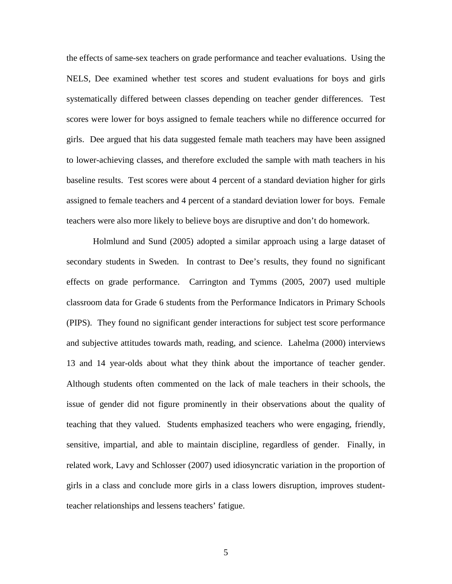the effects of same-sex teachers on grade performance and teacher evaluations. Using the NELS, Dee examined whether test scores and student evaluations for boys and girls systematically differed between classes depending on teacher gender differences. Test scores were lower for boys assigned to female teachers while no difference occurred for girls. Dee argued that his data suggested female math teachers may have been assigned to lower-achieving classes, and therefore excluded the sample with math teachers in his baseline results. Test scores were about 4 percent of a standard deviation higher for girls assigned to female teachers and 4 percent of a standard deviation lower for boys. Female teachers were also more likely to believe boys are disruptive and don't do homework.

Holmlund and Sund (2005) adopted a similar approach using a large dataset of secondary students in Sweden. In contrast to Dee's results, they found no significant effects on grade performance. Carrington and Tymms (2005, 2007) used multiple classroom data for Grade 6 students from the Performance Indicators in Primary Schools (PIPS). They found no significant gender interactions for subject test score performance and subjective attitudes towards math, reading, and science. Lahelma (2000) interviews 13 and 14 year-olds about what they think about the importance of teacher gender. Although students often commented on the lack of male teachers in their schools, the issue of gender did not figure prominently in their observations about the quality of teaching that they valued. Students emphasized teachers who were engaging, friendly, sensitive, impartial, and able to maintain discipline, regardless of gender. Finally, in related work, Lavy and Schlosser (2007) used idiosyncratic variation in the proportion of girls in a class and conclude more girls in a class lowers disruption, improves studentteacher relationships and lessens teachers' fatigue.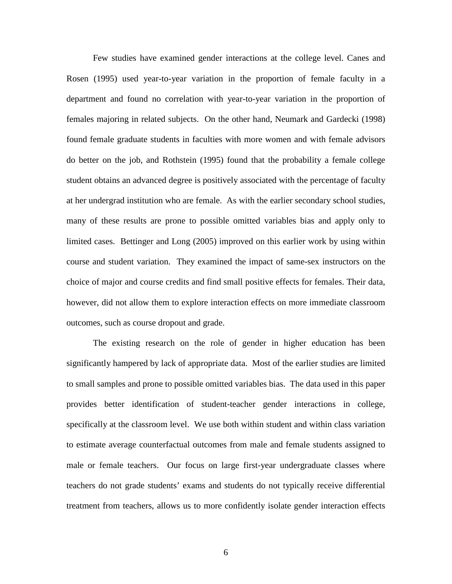Few studies have examined gender interactions at the college level. Canes and Rosen (1995) used year-to-year variation in the proportion of female faculty in a department and found no correlation with year-to-year variation in the proportion of females majoring in related subjects. On the other hand, Neumark and Gardecki (1998) found female graduate students in faculties with more women and with female advisors do better on the job, and Rothstein (1995) found that the probability a female college student obtains an advanced degree is positively associated with the percentage of faculty at her undergrad institution who are female. As with the earlier secondary school studies, many of these results are prone to possible omitted variables bias and apply only to limited cases. Bettinger and Long (2005) improved on this earlier work by using within course and student variation. They examined the impact of same-sex instructors on the choice of major and course credits and find small positive effects for females. Their data, however, did not allow them to explore interaction effects on more immediate classroom outcomes, such as course dropout and grade.

The existing research on the role of gender in higher education has been significantly hampered by lack of appropriate data. Most of the earlier studies are limited to small samples and prone to possible omitted variables bias. The data used in this paper provides better identification of student-teacher gender interactions in college, specifically at the classroom level. We use both within student and within class variation to estimate average counterfactual outcomes from male and female students assigned to male or female teachers. Our focus on large first-year undergraduate classes where teachers do not grade students' exams and students do not typically receive differential treatment from teachers, allows us to more confidently isolate gender interaction effects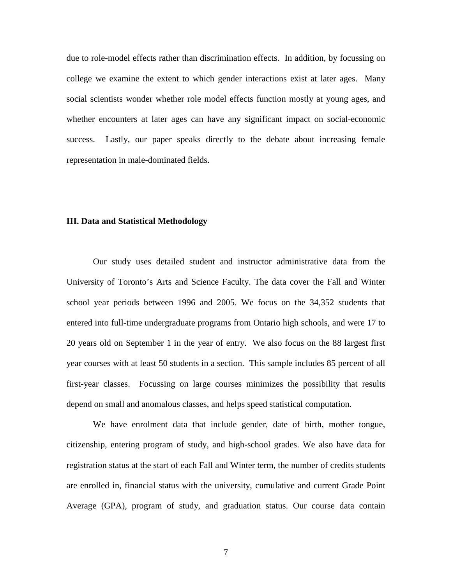due to role-model effects rather than discrimination effects. In addition, by focussing on college we examine the extent to which gender interactions exist at later ages. Many social scientists wonder whether role model effects function mostly at young ages, and whether encounters at later ages can have any significant impact on social-economic success. Lastly, our paper speaks directly to the debate about increasing female representation in male-dominated fields.

#### **III. Data and Statistical Methodology**

Our study uses detailed student and instructor administrative data from the University of Toronto's Arts and Science Faculty. The data cover the Fall and Winter school year periods between 1996 and 2005. We focus on the 34,352 students that entered into full-time undergraduate programs from Ontario high schools, and were 17 to 20 years old on September 1 in the year of entry. We also focus on the 88 largest first year courses with at least 50 students in a section. This sample includes 85 percent of all first-year classes. Focussing on large courses minimizes the possibility that results depend on small and anomalous classes, and helps speed statistical computation.

We have enrolment data that include gender, date of birth, mother tongue, citizenship, entering program of study, and high-school grades. We also have data for registration status at the start of each Fall and Winter term, the number of credits students are enrolled in, financial status with the university, cumulative and current Grade Point Average (GPA), program of study, and graduation status. Our course data contain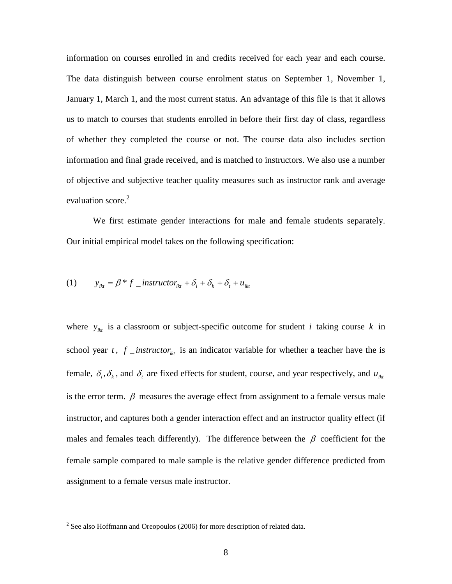information on courses enrolled in and credits received for each year and each course. The data distinguish between course enrolment status on September 1, November 1, January 1, March 1, and the most current status. An advantage of this file is that it allows us to match to courses that students enrolled in before their first day of class, regardless of whether they completed the course or not. The course data also includes section information and final grade received, and is matched to instructors. We also use a number of objective and subjective teacher quality measures such as instructor rank and average evaluation score.<sup>2</sup>

 We first estimate gender interactions for male and female students separately. Our initial empirical model takes on the following specification:

(1) 
$$
y_{ikt} = \beta * f_{\text{}}\frac{1}{t} \text{instructor}_{ikt} + \delta_i + \delta_k + \delta_t + u_{ikt}
$$

where  $y_{ik}$  is a classroom or subject-specific outcome for student *i* taking course *k* in school year *t*,  $f$  *f instructor<sub>its</sub>* is an indicator variable for whether a teacher have the is female,  $\delta_i$ ,  $\delta_k$ , and  $\delta_t$  are fixed effects for student, course, and year respectively, and  $u_{ik}$ is the error term.  $\beta$  measures the average effect from assignment to a female versus male instructor, and captures both a gender interaction effect and an instructor quality effect (if males and females teach differently). The difference between the  $\beta$  coefficient for the female sample compared to male sample is the relative gender difference predicted from assignment to a female versus male instructor.

<sup>&</sup>lt;sup>2</sup> See also Hoffmann and Oreopoulos (2006) for more description of related data.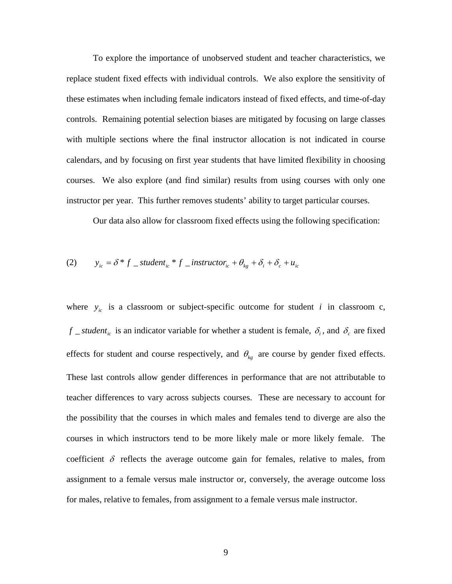To explore the importance of unobserved student and teacher characteristics, we replace student fixed effects with individual controls. We also explore the sensitivity of these estimates when including female indicators instead of fixed effects, and time-of-day controls. Remaining potential selection biases are mitigated by focusing on large classes with multiple sections where the final instructor allocation is not indicated in course calendars, and by focusing on first year students that have limited flexibility in choosing courses. We also explore (and find similar) results from using courses with only one instructor per year. This further removes students' ability to target particular courses.

Our data also allow for classroom fixed effects using the following specification:

(2) 
$$
y_{ic} = \delta * f_{\text{}} + student_{ic} * f_{\text{}} + marketor_{ic} + \theta_{kg} + \delta_i + \delta_c + u_{ic}
$$

where  $y_{ic}$  is a classroom or subject-specific outcome for student *i* in classroom c, *f*  $\subseteq$  *student<sub>ic</sub>* is an indicator variable for whether a student is female,  $\delta$ <sub>i</sub>, and  $\delta$ <sub>c</sub> are fixed effects for student and course respectively, and  $\theta_{k}$  are course by gender fixed effects. These last controls allow gender differences in performance that are not attributable to teacher differences to vary across subjects courses. These are necessary to account for the possibility that the courses in which males and females tend to diverge are also the courses in which instructors tend to be more likely male or more likely female. The coefficient  $\delta$  reflects the average outcome gain for females, relative to males, from assignment to a female versus male instructor or, conversely, the average outcome loss for males, relative to females, from assignment to a female versus male instructor.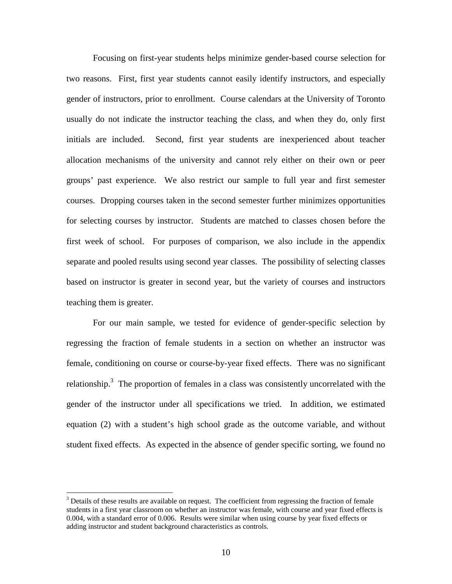Focusing on first-year students helps minimize gender-based course selection for two reasons. First, first year students cannot easily identify instructors, and especially gender of instructors, prior to enrollment. Course calendars at the University of Toronto usually do not indicate the instructor teaching the class, and when they do, only first initials are included. Second, first year students are inexperienced about teacher allocation mechanisms of the university and cannot rely either on their own or peer groups' past experience. We also restrict our sample to full year and first semester courses. Dropping courses taken in the second semester further minimizes opportunities for selecting courses by instructor. Students are matched to classes chosen before the first week of school. For purposes of comparison, we also include in the appendix separate and pooled results using second year classes. The possibility of selecting classes based on instructor is greater in second year, but the variety of courses and instructors teaching them is greater.

For our main sample, we tested for evidence of gender-specific selection by regressing the fraction of female students in a section on whether an instructor was female, conditioning on course or course-by-year fixed effects. There was no significant relationship.<sup>3</sup> The proportion of females in a class was consistently uncorrelated with the gender of the instructor under all specifications we tried. In addition, we estimated equation (2) with a student's high school grade as the outcome variable, and without student fixed effects. As expected in the absence of gender specific sorting, we found no

 $\overline{a}$ 

 $3$  Details of these results are available on request. The coefficient from regressing the fraction of female students in a first year classroom on whether an instructor was female, with course and year fixed effects is 0.004, with a standard error of 0.006. Results were similar when using course by year fixed effects or adding instructor and student background characteristics as controls.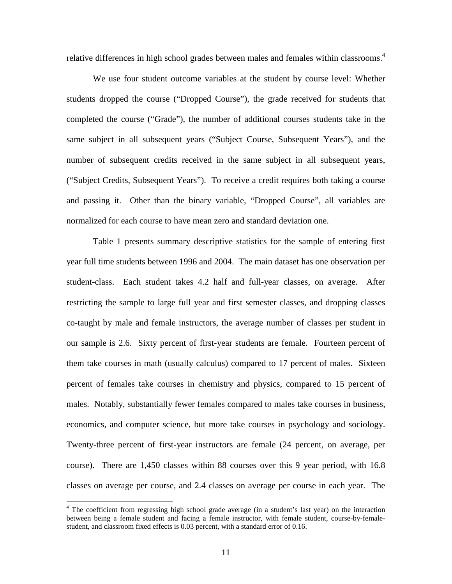relative differences in high school grades between males and females within classrooms.<sup>4</sup>

 We use four student outcome variables at the student by course level: Whether students dropped the course ("Dropped Course"), the grade received for students that completed the course ("Grade"), the number of additional courses students take in the same subject in all subsequent years ("Subject Course, Subsequent Years"), and the number of subsequent credits received in the same subject in all subsequent years, ("Subject Credits, Subsequent Years"). To receive a credit requires both taking a course and passing it. Other than the binary variable, "Dropped Course", all variables are normalized for each course to have mean zero and standard deviation one.

Table 1 presents summary descriptive statistics for the sample of entering first year full time students between 1996 and 2004. The main dataset has one observation per student-class. Each student takes 4.2 half and full-year classes, on average. After restricting the sample to large full year and first semester classes, and dropping classes co-taught by male and female instructors, the average number of classes per student in our sample is 2.6. Sixty percent of first-year students are female. Fourteen percent of them take courses in math (usually calculus) compared to 17 percent of males. Sixteen percent of females take courses in chemistry and physics, compared to 15 percent of males. Notably, substantially fewer females compared to males take courses in business, economics, and computer science, but more take courses in psychology and sociology. Twenty-three percent of first-year instructors are female (24 percent, on average, per course). There are 1,450 classes within 88 courses over this 9 year period, with 16.8 classes on average per course, and 2.4 classes on average per course in each year. The

 $\overline{a}$ 

<sup>&</sup>lt;sup>4</sup> The coefficient from regressing high school grade average (in a student's last year) on the interaction between being a female student and facing a female instructor, with female student, course-by-femalestudent, and classroom fixed effects is 0.03 percent, with a standard error of 0.16.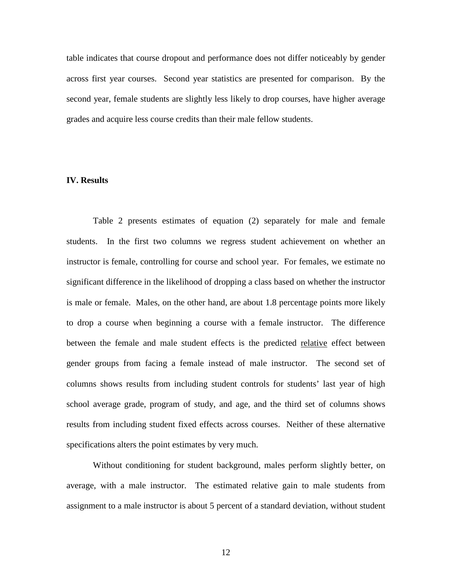table indicates that course dropout and performance does not differ noticeably by gender across first year courses. Second year statistics are presented for comparison. By the second year, female students are slightly less likely to drop courses, have higher average grades and acquire less course credits than their male fellow students.

#### **IV. Results**

Table 2 presents estimates of equation (2) separately for male and female students. In the first two columns we regress student achievement on whether an instructor is female, controlling for course and school year. For females, we estimate no significant difference in the likelihood of dropping a class based on whether the instructor is male or female. Males, on the other hand, are about 1.8 percentage points more likely to drop a course when beginning a course with a female instructor. The difference between the female and male student effects is the predicted relative effect between gender groups from facing a female instead of male instructor. The second set of columns shows results from including student controls for students' last year of high school average grade, program of study, and age, and the third set of columns shows results from including student fixed effects across courses. Neither of these alternative specifications alters the point estimates by very much.

Without conditioning for student background, males perform slightly better, on average, with a male instructor. The estimated relative gain to male students from assignment to a male instructor is about 5 percent of a standard deviation, without student

12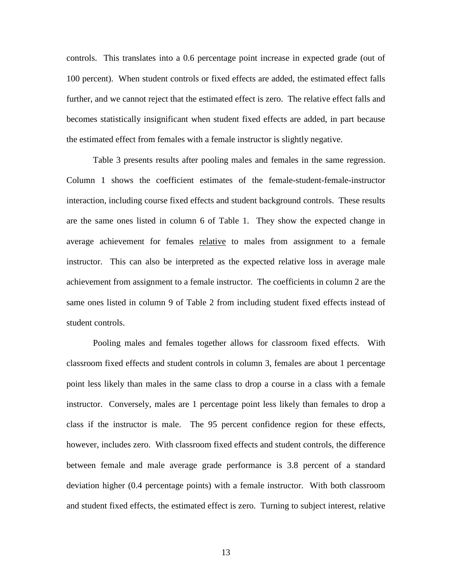controls. This translates into a 0.6 percentage point increase in expected grade (out of 100 percent). When student controls or fixed effects are added, the estimated effect falls further, and we cannot reject that the estimated effect is zero. The relative effect falls and becomes statistically insignificant when student fixed effects are added, in part because the estimated effect from females with a female instructor is slightly negative.

Table 3 presents results after pooling males and females in the same regression. Column 1 shows the coefficient estimates of the female-student-female-instructor interaction, including course fixed effects and student background controls. These results are the same ones listed in column 6 of Table 1. They show the expected change in average achievement for females relative to males from assignment to a female instructor. This can also be interpreted as the expected relative loss in average male achievement from assignment to a female instructor. The coefficients in column 2 are the same ones listed in column 9 of Table 2 from including student fixed effects instead of student controls.

Pooling males and females together allows for classroom fixed effects. With classroom fixed effects and student controls in column 3, females are about 1 percentage point less likely than males in the same class to drop a course in a class with a female instructor. Conversely, males are 1 percentage point less likely than females to drop a class if the instructor is male. The 95 percent confidence region for these effects, however, includes zero. With classroom fixed effects and student controls, the difference between female and male average grade performance is 3.8 percent of a standard deviation higher (0.4 percentage points) with a female instructor. With both classroom and student fixed effects, the estimated effect is zero. Turning to subject interest, relative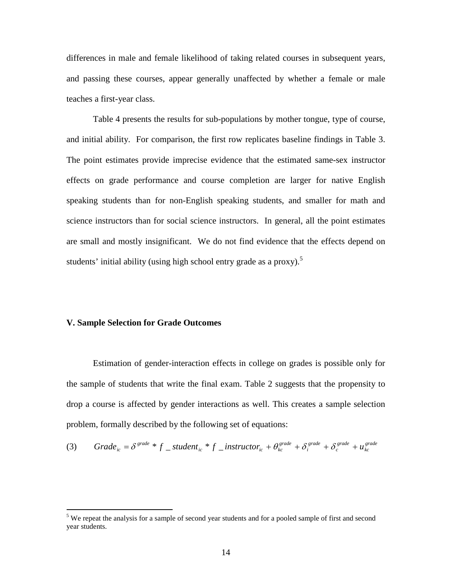differences in male and female likelihood of taking related courses in subsequent years, and passing these courses, appear generally unaffected by whether a female or male teaches a first-year class.

Table 4 presents the results for sub-populations by mother tongue, type of course, and initial ability. For comparison, the first row replicates baseline findings in Table 3. The point estimates provide imprecise evidence that the estimated same-sex instructor effects on grade performance and course completion are larger for native English speaking students than for non-English speaking students, and smaller for math and science instructors than for social science instructors. In general, all the point estimates are small and mostly insignificant. We do not find evidence that the effects depend on students' initial ability (using high school entry grade as a proxy).<sup>5</sup>

#### **V. Sample Selection for Grade Outcomes**

Estimation of gender-interaction effects in college on grades is possible only for the sample of students that write the final exam. Table 2 suggests that the propensity to drop a course is affected by gender interactions as well. This creates a sample selection problem, formally described by the following set of equations:

(3) 
$$
Grade_{ic} = \delta^{grade} * f_{sat} = student_{ic} * f_{instructor_{ic} + \theta_{kc}^{grade} + \delta_{i}^{grade} + \delta_{c}^{grade} + u_{kc}^{grade}
$$

<sup>&</sup>lt;sup>5</sup> We repeat the analysis for a sample of second year students and for a pooled sample of first and second year students.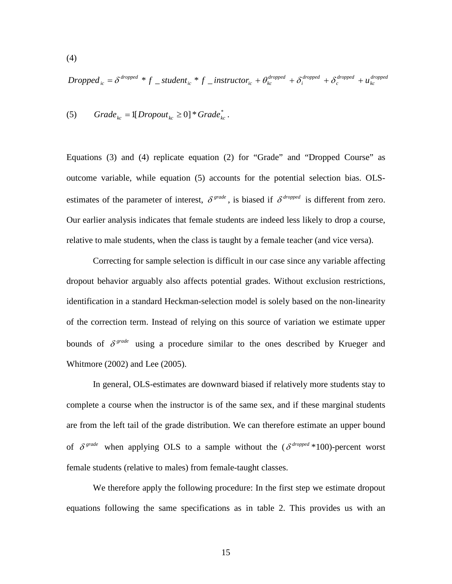*dropped kc dropped c dropped i dropped*  $i_c$  *J*  $=$  *instructor*<sub>ic</sub>  $\cdot$   $\sigma_{kc}$  $Dropped_{ic} = \delta^{dropped} * f$  \_ *student*<sub>ic</sub> \*  $f$  \_ *instructor*<sub>ic</sub> +  $\theta_{kc}^{dropped}$  +  $\delta_{i}^{dropped}$  +  $u$ 

(5) 
$$
Grade_{kc} = \text{1}[Dropout_{kc} \geq 0] * Grade_{kc}^*.
$$

Equations (3) and (4) replicate equation (2) for "Grade" and "Dropped Course" as outcome variable, while equation (5) accounts for the potential selection bias. OLSestimates of the parameter of interest,  $\delta^{grade}$ , is biased if  $\delta^{dropped}$  is different from zero. Our earlier analysis indicates that female students are indeed less likely to drop a course, relative to male students, when the class is taught by a female teacher (and vice versa).

 Correcting for sample selection is difficult in our case since any variable affecting dropout behavior arguably also affects potential grades. Without exclusion restrictions, identification in a standard Heckman-selection model is solely based on the non-linearity of the correction term. Instead of relying on this source of variation we estimate upper bounds of  $\delta^{grade}$  using a procedure similar to the ones described by Krueger and Whitmore (2002) and Lee (2005).

In general, OLS-estimates are downward biased if relatively more students stay to complete a course when the instructor is of the same sex, and if these marginal students are from the left tail of the grade distribution. We can therefore estimate an upper bound of  $\delta^{grade}$  when applying OLS to a sample without the ( $\delta^{dropped}$  \*100)-percent worst female students (relative to males) from female-taught classes.

 We therefore apply the following procedure: In the first step we estimate dropout equations following the same specifications as in table 2. This provides us with an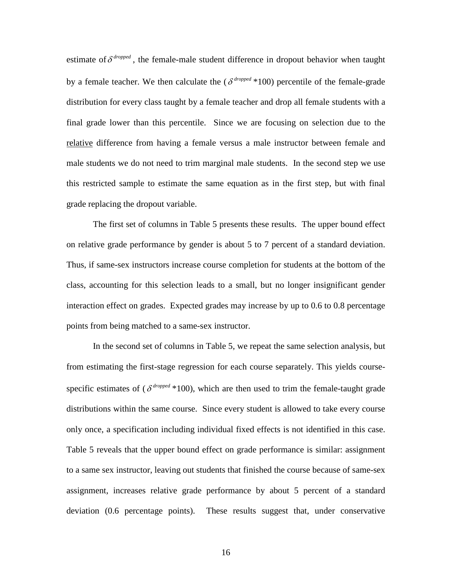estimate of  $\delta^{dropped}$ , the female-male student difference in dropout behavior when taught by a female teacher. We then calculate the ( $\delta^{dropped}$  \*100) percentile of the female-grade distribution for every class taught by a female teacher and drop all female students with a final grade lower than this percentile. Since we are focusing on selection due to the relative difference from having a female versus a male instructor between female and male students we do not need to trim marginal male students. In the second step we use this restricted sample to estimate the same equation as in the first step, but with final grade replacing the dropout variable.

 The first set of columns in Table 5 presents these results. The upper bound effect on relative grade performance by gender is about 5 to 7 percent of a standard deviation. Thus, if same-sex instructors increase course completion for students at the bottom of the class, accounting for this selection leads to a small, but no longer insignificant gender interaction effect on grades. Expected grades may increase by up to 0.6 to 0.8 percentage points from being matched to a same-sex instructor.

In the second set of columns in Table 5, we repeat the same selection analysis, but from estimating the first-stage regression for each course separately. This yields coursespecific estimates of ( $\delta^{dropped}$  \*100), which are then used to trim the female-taught grade distributions within the same course. Since every student is allowed to take every course only once, a specification including individual fixed effects is not identified in this case. Table 5 reveals that the upper bound effect on grade performance is similar: assignment to a same sex instructor, leaving out students that finished the course because of same-sex assignment, increases relative grade performance by about 5 percent of a standard deviation (0.6 percentage points). These results suggest that, under conservative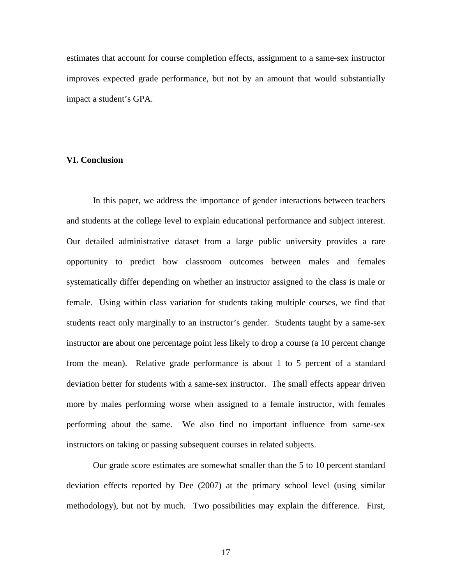estimates that account for course completion effects, assignment to a same-sex instructor improves expected grade performance, but not by an amount that would substantially impact a student's GPA.

#### **VI. Conclusion**

In this paper, we address the importance of gender interactions between teachers and students at the college level to explain educational performance and subject interest. Our detailed administrative dataset from a large public university provides a rare opportunity to predict how classroom outcomes between males and females systematically differ depending on whether an instructor assigned to the class is male or female. Using within class variation for students taking multiple courses, we find that students react only marginally to an instructor's gender. Students taught by a same-sex instructor are about one percentage point less likely to drop a course (a 10 percent change from the mean). Relative grade performance is about 1 to 5 percent of a standard deviation better for students with a same-sex instructor. The small effects appear driven more by males performing worse when assigned to a female instructor, with females performing about the same. We also find no important influence from same-sex instructors on taking or passing subsequent courses in related subjects.

Our grade score estimates are somewhat smaller than the 5 to 10 percent standard deviation effects reported by Dee (2007) at the primary school level (using similar methodology), but not by much. Two possibilities may explain the difference. First,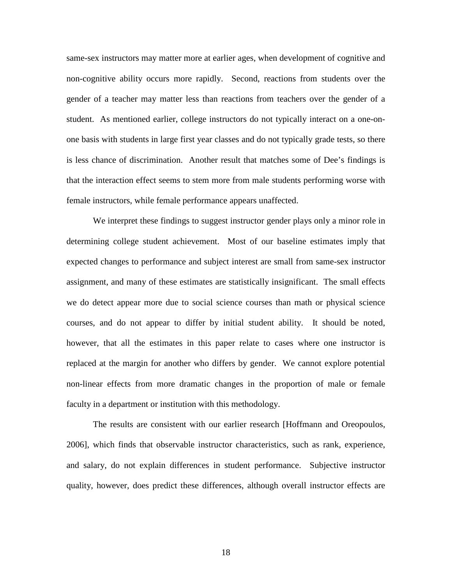same-sex instructors may matter more at earlier ages, when development of cognitive and non-cognitive ability occurs more rapidly. Second, reactions from students over the gender of a teacher may matter less than reactions from teachers over the gender of a student. As mentioned earlier, college instructors do not typically interact on a one-onone basis with students in large first year classes and do not typically grade tests, so there is less chance of discrimination. Another result that matches some of Dee's findings is that the interaction effect seems to stem more from male students performing worse with female instructors, while female performance appears unaffected.

We interpret these findings to suggest instructor gender plays only a minor role in determining college student achievement. Most of our baseline estimates imply that expected changes to performance and subject interest are small from same-sex instructor assignment, and many of these estimates are statistically insignificant. The small effects we do detect appear more due to social science courses than math or physical science courses, and do not appear to differ by initial student ability. It should be noted, however, that all the estimates in this paper relate to cases where one instructor is replaced at the margin for another who differs by gender. We cannot explore potential non-linear effects from more dramatic changes in the proportion of male or female faculty in a department or institution with this methodology.

The results are consistent with our earlier research [Hoffmann and Oreopoulos, 2006], which finds that observable instructor characteristics, such as rank, experience, and salary, do not explain differences in student performance. Subjective instructor quality, however, does predict these differences, although overall instructor effects are

18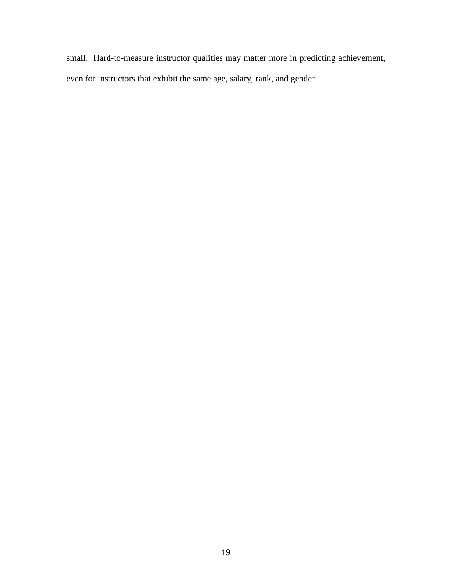small. Hard-to-measure instructor qualities may matter more in predicting achievement, even for instructors that exhibit the same age, salary, rank, and gender.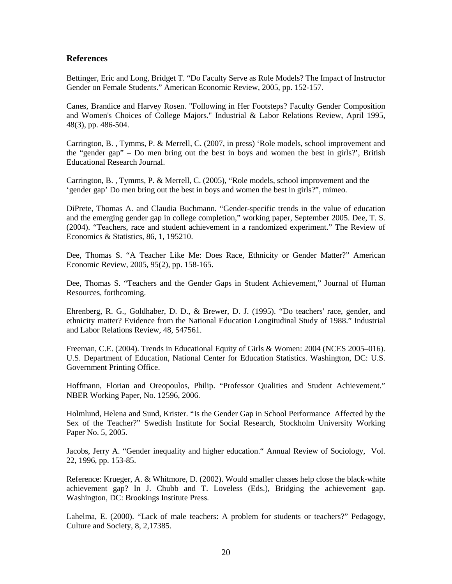#### **References**

Bettinger, Eric and Long, Bridget T. "Do Faculty Serve as Role Models? The Impact of Instructor Gender on Female Students." American Economic Review, 2005, pp. 152-157.

Canes, Brandice and Harvey Rosen. "Following in Her Footsteps? Faculty Gender Composition and Women's Choices of College Majors." Industrial & Labor Relations Review, April 1995, 48(3), pp. 486-504.

Carrington, B. , Tymms, P. & Merrell, C. (2007, in press) 'Role models, school improvement and the "gender gap" – Do men bring out the best in boys and women the best in girls?', British Educational Research Journal.

Carrington, B. , Tymms, P. & Merrell, C. (2005), "Role models, school improvement and the 'gender gap' Do men bring out the best in boys and women the best in girls?", mimeo.

DiPrete, Thomas A. and Claudia Buchmann. "Gender-specific trends in the value of education and the emerging gender gap in college completion," working paper, September 2005. Dee, T. S. (2004). "Teachers, race and student achievement in a randomized experiment." The Review of Economics & Statistics, 86, 1, 195210.

Dee, Thomas S. "A Teacher Like Me: Does Race, Ethnicity or Gender Matter?" American Economic Review, 2005, 95(2), pp. 158-165.

Dee, Thomas S. "Teachers and the Gender Gaps in Student Achievement," Journal of Human Resources, forthcoming.

Ehrenberg, R. G., Goldhaber, D. D., & Brewer, D. J. (1995). "Do teachers' race, gender, and ethnicity matter? Evidence from the National Education Longitudinal Study of 1988." Industrial and Labor Relations Review, 48, 547561.

Freeman, C.E. (2004). Trends in Educational Equity of Girls & Women: 2004 (NCES 2005–016). U.S. Department of Education, National Center for Education Statistics. Washington, DC: U.S. Government Printing Office.

Hoffmann, Florian and Oreopoulos, Philip. "Professor Qualities and Student Achievement." NBER Working Paper, No. 12596, 2006.

Holmlund, Helena and Sund, Krister. "Is the Gender Gap in School Performance Affected by the Sex of the Teacher?" Swedish Institute for Social Research, Stockholm University Working Paper No. 5, 2005.

Jacobs, Jerry A. "Gender inequality and higher education." Annual Review of Sociology, Vol. 22, 1996, pp. 153-85.

Reference: Krueger, A. & Whitmore, D. (2002). Would smaller classes help close the black-white achievement gap? In J. Chubb and T. Loveless (Eds.), Bridging the achievement gap. Washington, DC: Brookings Institute Press.

Lahelma, E. (2000). "Lack of male teachers: A problem for students or teachers?" Pedagogy, Culture and Society, 8, 2,17385.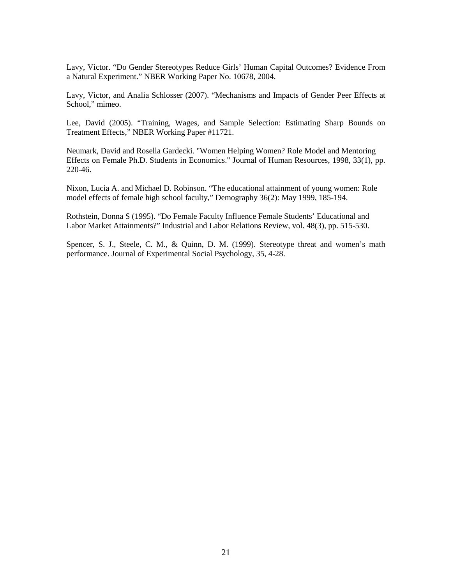Lavy, Victor. "Do Gender Stereotypes Reduce Girls' Human Capital Outcomes? Evidence From a Natural Experiment." NBER Working Paper No. 10678, 2004.

Lavy, Victor, and Analia Schlosser (2007). "Mechanisms and Impacts of Gender Peer Effects at School," mimeo.

Lee, David (2005). "Training, Wages, and Sample Selection: Estimating Sharp Bounds on Treatment Effects," NBER Working Paper #11721.

Neumark, David and Rosella Gardecki. "Women Helping Women? Role Model and Mentoring Effects on Female Ph.D. Students in Economics." Journal of Human Resources, 1998, 33(1), pp. 220-46.

Nixon, Lucia A. and Michael D. Robinson. "The educational attainment of young women: Role model effects of female high school faculty," Demography 36(2): May 1999, 185-194.

Rothstein, Donna S (1995). "Do Female Faculty Influence Female Students' Educational and Labor Market Attainments?" Industrial and Labor Relations Review, vol. 48(3), pp. 515-530.

Spencer, S. J., Steele, C. M., & Quinn, D. M. (1999). Stereotype threat and women's math performance. Journal of Experimental Social Psychology, 35, 4-28.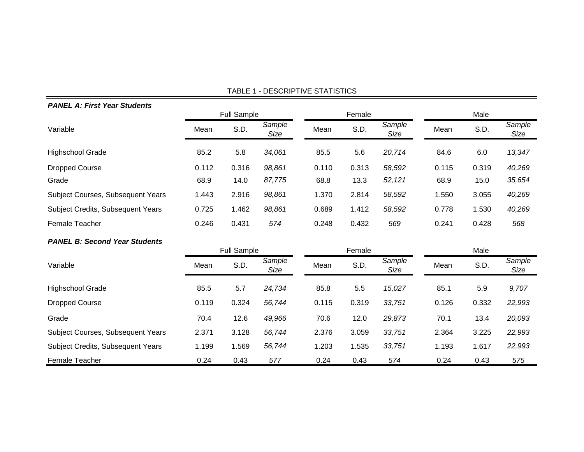| <b>PANEL A: First Year Students</b>      |       |                    |                |       |        |                |       |       |                |
|------------------------------------------|-------|--------------------|----------------|-------|--------|----------------|-------|-------|----------------|
|                                          |       | <b>Full Sample</b> |                |       | Female |                |       | Male  |                |
| Variable                                 | Mean  | S.D.               | Sample<br>Size | Mean  | S.D.   | Sample<br>Size | Mean  | S.D.  | Sample<br>Size |
| <b>Highschool Grade</b>                  | 85.2  | 5.8                | 34,061         | 85.5  | 5.6    | 20,714         | 84.6  | 6.0   | 13,347         |
| <b>Dropped Course</b>                    | 0.112 | 0.316              | 98,861         | 0.110 | 0.313  | 58,592         | 0.115 | 0.319 | 40,269         |
| Grade                                    | 68.9  | 14.0               | 87,775         | 68.8  | 13.3   | 52,121         | 68.9  | 15.0  | 35,654         |
| Subject Courses, Subsequent Years        | 1.443 | 2.916              | 98,861         | 1.370 | 2.814  | 58,592         | 1.550 | 3.055 | 40,269         |
| <b>Subject Credits, Subsequent Years</b> | 0.725 | 1.462              | 98,861         | 0.689 | 1.412  | 58,592         | 0.778 | 1.530 | 40,269         |
| Female Teacher                           | 0.246 | 0.431              | 574            | 0.248 | 0.432  | 569            | 0.241 | 0.428 | 568            |
| <b>PANEL B: Second Year Students</b>     |       |                    |                |       |        |                |       |       |                |
|                                          |       | <b>Full Sample</b> |                |       | Female |                |       | Male  |                |
| Variable                                 | Mean  | S.D.               | Sample<br>Size | Mean  | S.D.   | Sample<br>Size | Mean  | S.D.  | Sample<br>Size |
| <b>Highschool Grade</b>                  | 85.5  | 5.7                | 24,734         | 85.8  | 5.5    | 15,027         | 85.1  | 5.9   | 9,707          |
| <b>Dropped Course</b>                    | 0.119 | 0.324              | 56,744         | 0.115 | 0.319  | 33,751         | 0.126 | 0.332 | 22,993         |
| Grade                                    | 70.4  | 12.6               | 49,966         | 70.6  | 12.0   | 29,873         | 70.1  | 13.4  | 20,093         |
| Subject Courses, Subsequent Years        | 2.371 | 3.128              | 56,744         | 2.376 | 3.059  | 33,751         | 2.364 | 3.225 | 22,993         |
| Subject Credits, Subsequent Years        | 1.199 | 1.569              | 56,744         | 1.203 | 1.535  | 33,751         | 1.193 | 1.617 | 22,993         |
| Female Teacher                           | 0.24  | 0.43               | 577            | 0.24  | 0.43   | 574            | 0.24  | 0.43  | 575            |

## TABLE 1 - DESCRIPTIVE STATISTICS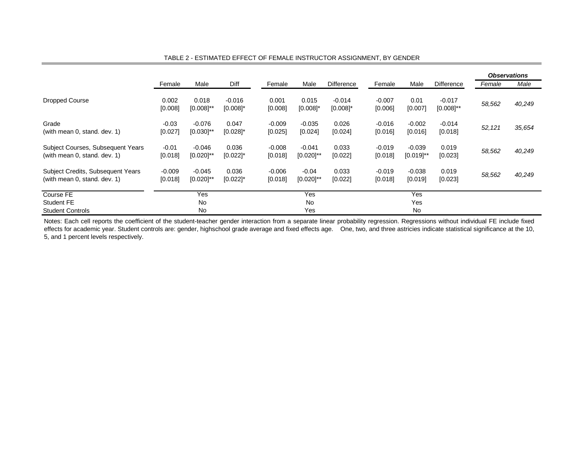|                                                                   |                     |                            |                                 |                     |                            |                         |                     |                          |                            | <b>Observations</b> |        |
|-------------------------------------------------------------------|---------------------|----------------------------|---------------------------------|---------------------|----------------------------|-------------------------|---------------------|--------------------------|----------------------------|---------------------|--------|
|                                                                   | Female              | Male                       | Diff                            | Female              | Male                       | <b>Difference</b>       | Female              | Male                     | <b>Difference</b>          | Female              | Male   |
| <b>Dropped Course</b>                                             | 0.002<br>[0.008]    | 0.018<br>$[0.008]^{**}$    | $-0.016$<br>$[0.008]$ *         | 0.001<br>[0.008]    | 0.015<br>$[0.008]$ *       | $-0.014$<br>$[0.008]$ * | $-0.007$<br>[0.006] | 0.01<br>[0.007]          | $-0.017$<br>$[0.008]^{**}$ | 58,562              | 40,249 |
| Grade<br>(with mean 0, stand. dev. 1)                             | $-0.03$<br>[0.027]  | $-0.076$<br>$[0.030]^{**}$ | 0.047<br>$[0.028]$ <sup>*</sup> | $-0.009$<br>[0.025] | $-0.035$<br>[0.024]        | 0.026<br>[0.024]        | $-0.016$<br>[0.016] | $-0.002$<br>[0.016]      | $-0.014$<br>[0.018]        | 52,121              | 35,654 |
| Subject Courses, Subsequent Years<br>(with mean 0, stand. dev. 1) | $-0.01$<br>[0.018]  | $-0.046$<br>$[0.020]^{**}$ | 0.036<br>$[0.022]$ *            | $-0.008$<br>[0.018] | $-0.041$<br>$[0.020]^{**}$ | 0.033<br>[0.022]        | $-0.019$<br>[0.018] | $-0.039$<br>$[0.019]$ ** | 0.019<br>[0.023]           | 58,562              | 40,249 |
| Subject Credits, Subsequent Years<br>(with mean 0, stand. dev. 1) | $-0.009$<br>[0.018] | $-0.045$<br>$[0.020]^{**}$ | 0.036<br>$[0.022]$ *            | $-0.006$<br>[0.018] | $-0.04$<br>$[0.020]^{**}$  | 0.033<br>[0.022]        | $-0.019$<br>[0.018] | $-0.038$<br>[0.019]      | 0.019<br>[0.023]           | 58,562              | 40,249 |
| Course FE                                                         |                     | Yes                        |                                 |                     | Yes                        |                         |                     | Yes                      |                            |                     |        |
| Student FE                                                        |                     | <b>No</b>                  |                                 |                     | No.                        |                         |                     | Yes                      |                            |                     |        |
| <b>Student Controls</b>                                           |                     | No.                        |                                 |                     | Yes                        |                         |                     | No.                      |                            |                     |        |

#### TABLE 2 - ESTIMATED EFFECT OF FEMALE INSTRUCTOR ASSIGNMENT, BY GENDER

Notes: Each cell reports the coefficient of the student-teacher gender interaction from <sup>a</sup> separate linear probability regression. Regressions without individual FE include fixed effects for academic year. Student controls are: gender, highschool grade average and fixed effects age. One, two, and three astricies indicate statistical significance at the 10, 5, and 1 percent levels respectively.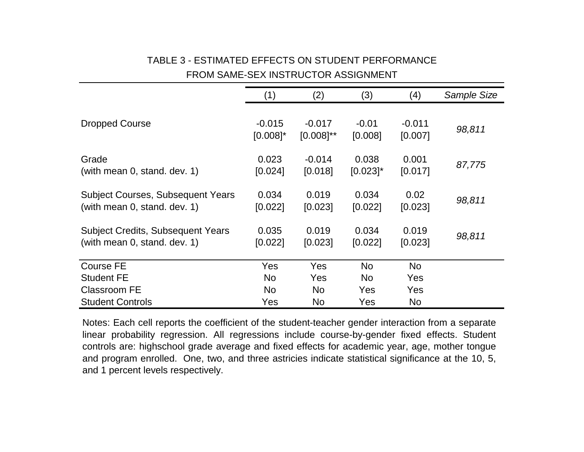# TABLE 3 - ESTIMATED EFFECTS ON STUDENT PERFORMANCEFROM SAME-SEX INSTRUCTOR ASSIGNMENT

|                                                                          | (1)                                | (2)                        | (3)                             | (4)                 | Sample Size |
|--------------------------------------------------------------------------|------------------------------------|----------------------------|---------------------------------|---------------------|-------------|
| <b>Dropped Course</b>                                                    | $-0.015$<br>$[0.008]$ <sup>*</sup> | $-0.017$<br>$[0.008]^{**}$ | $-0.01$<br>[0.008]              | $-0.011$<br>[0.007] | 98,811      |
| Grade<br>(with mean 0, stand. dev. 1)                                    | 0.023<br>[0.024]                   | $-0.014$<br>[0.018]        | 0.038<br>$[0.023]$ <sup>*</sup> | 0.001<br>[0.017]    | 87,775      |
| <b>Subject Courses, Subsequent Years</b><br>(with mean 0, stand. dev. 1) | 0.034<br>[0.022]                   | 0.019<br>[0.023]           | 0.034<br>[0.022]                | 0.02<br>[0.023]     | 98,811      |
| <b>Subject Credits, Subsequent Years</b><br>(with mean 0, stand. dev. 1) | 0.035<br>[0.022]                   | 0.019<br>[0.023]           | 0.034<br>[0.022]                | 0.019<br>[0.023]    | 98,811      |
| Course FE                                                                | Yes                                | Yes                        | <b>No</b>                       | <b>No</b>           |             |
| <b>Student FE</b>                                                        | <b>No</b>                          | Yes                        | No.                             | Yes                 |             |
| <b>Classroom FE</b>                                                      | <b>No</b>                          | <b>No</b>                  | Yes                             | Yes                 |             |
| <b>Student Controls</b>                                                  | Yes                                | <b>No</b>                  | Yes                             | <b>No</b>           |             |

Notes: Each cell reports the coefficient of the student-teacher gender interaction from <sup>a</sup> separate linear probability regression. All regressions include course-by-gender fixed effects. Student controls are: highschool grade average and fixed effects for academic year, age, mother tongue and program enrolled. One, two, and three astricies indicate statistical significance at the 10, 5, and 1 percent levels respectively.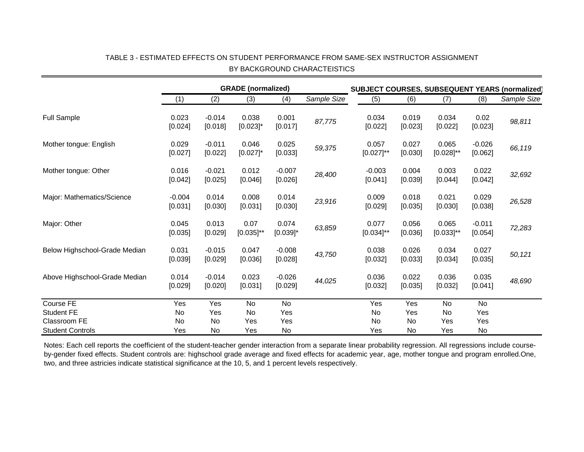|                               | <b>GRADE</b> (normalized) |                     |                        |                      | <b>SUBJECT COURSES, SUBSEQUENT YEARS (normalized)</b> |                         |                  |                         |                     |             |  |
|-------------------------------|---------------------------|---------------------|------------------------|----------------------|-------------------------------------------------------|-------------------------|------------------|-------------------------|---------------------|-------------|--|
|                               | (1)                       | (2)                 | (3)                    | (4)                  | Sample Size                                           | (5)                     | (6)              | (7)                     | (8)                 | Sample Size |  |
| <b>Full Sample</b>            | 0.023<br>[0.024]          | $-0.014$<br>[0.018] | 0.038<br>$[0.023]$ *   | 0.001<br>[0.017]     | 87,775                                                | 0.034<br>[0.022]        | 0.019<br>[0.023] | 0.034<br>[0.022]        | 0.02<br>[0.023]     | 98,811      |  |
| Mother tongue: English        | 0.029<br>[0.027]          | $-0.011$<br>[0.022] | 0.046<br>$[0.027]$ *   | 0.025<br>[0.033]     | 59,375                                                | 0.057<br>$[0.027]^{**}$ | 0.027<br>[0.030] | 0.065<br>$[0.028]^{**}$ | $-0.026$<br>[0.062] | 66,119      |  |
| Mother tongue: Other          | 0.016<br>[0.042]          | $-0.021$<br>[0.025] | 0.012<br>[0.046]       | $-0.007$<br>[0.026]  | 28,400                                                | $-0.003$<br>[0.041]     | 0.004<br>[0.039] | 0.003<br>[0.044]        | 0.022<br>[0.042]    | 32,692      |  |
| Major: Mathematics/Science    | $-0.004$<br>[0.031]       | 0.014<br>[0.030]    | 0.008<br>[0.031]       | 0.014<br>[0.030]     | 23,916                                                | 0.009<br>[0.029]        | 0.018<br>[0.035] | 0.021<br>[0.030]        | 0.029<br>[0.038]    | 26,528      |  |
| Major: Other                  | 0.045<br>[0.035]          | 0.013<br>[0.029]    | 0.07<br>$[0.035]^{**}$ | 0.074<br>$[0.039]$ * | 63,859                                                | 0.077<br>$[0.034]^{**}$ | 0.056<br>[0.036] | 0.065<br>$[0.033]^{**}$ | $-0.011$<br>[0.054] | 72,283      |  |
| Below Highschool-Grade Median | 0.031<br>[0.039]          | $-0.015$<br>[0.029] | 0.047<br>[0.036]       | $-0.008$<br>[0.028]  | 43,750                                                | 0.038<br>[0.032]        | 0.026<br>[0.033] | 0.034<br>[0.034]        | 0.027<br>[0.035]    | 50,121      |  |
| Above Highschool-Grade Median | 0.014<br>[0.029]          | $-0.014$<br>[0.020] | 0.023<br>[0.031]       | $-0.026$<br>[0.029]  | 44,025                                                | 0.036<br>[0.032]        | 0.022<br>[0.035] | 0.036<br>[0.032]        | 0.035<br>[0.041]    | 48,690      |  |
| Course FE                     | Yes                       | Yes                 | No                     | No                   |                                                       | Yes                     | Yes              | No                      | No                  |             |  |
| <b>Student FE</b>             | No                        | Yes                 | No                     | Yes                  |                                                       | No                      | Yes              | No                      | Yes                 |             |  |
| Classroom FE                  | No                        | No                  | Yes                    | Yes                  |                                                       | No                      | No               | Yes                     | Yes                 |             |  |
| <b>Student Controls</b>       | Yes                       | No                  | Yes                    | No                   |                                                       | Yes                     | No               | Yes                     | No                  |             |  |

## TABLE 3 - ESTIMATED EFFECTS ON STUDENT PERFORMANCE FROM SAME-SEX INSTRUCTOR ASSIGNMENTBY BACKGROUND CHARACTEISTICS

Notes: Each cell reports the coefficient of the student-teacher gender interaction from <sup>a</sup> separate linear probability regression. All regressions include courseby-gender fixed effects. Student controls are: highschool grade average and fixed effects for academic year, age, mother tongue and program enrolled.One, two, and three astricies indicate statistical significance at the 10, 5, and 1 percent levels respectively.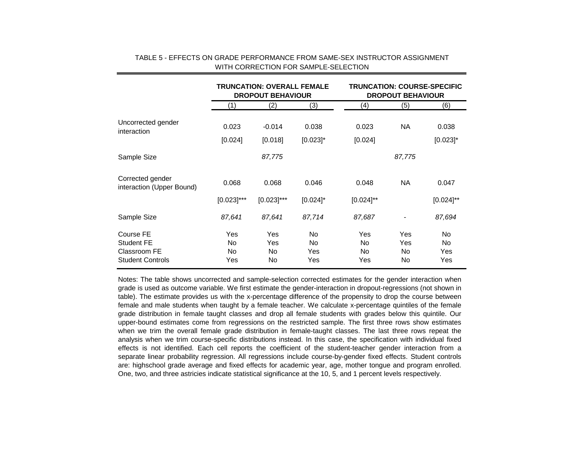|                                                                    |                                      | <b>TRUNCATION: OVERALL FEMALE</b><br><b>DROPOUT BEHAVIOUR</b> |                          | <b>DROPOUT BEHAVIOUR</b> | <b>TRUNCATION: COURSE-SPECIFIC</b> |                        |
|--------------------------------------------------------------------|--------------------------------------|---------------------------------------------------------------|--------------------------|--------------------------|------------------------------------|------------------------|
|                                                                    | (1)                                  | (2)                                                           | (3)                      | (4)                      | (5)                                | (6)                    |
| Uncorrected gender<br>interaction                                  | 0.023                                | $-0.014$                                                      | 0.038                    | 0.023                    | <b>NA</b>                          | 0.038                  |
|                                                                    | [0.024]                              | [0.018]                                                       | $[0.023]$ <sup>*</sup>   | [0.024]                  |                                    | $[0.023]^{*}$          |
| Sample Size                                                        |                                      | 87,775                                                        |                          |                          | 87,775                             |                        |
| Corrected gender<br>interaction (Upper Bound)                      | 0.068                                | 0.068                                                         | 0.046                    | 0.048                    | <b>NA</b>                          | 0.047                  |
|                                                                    | $[0.023]$ ***                        | $[0.023]$ ***                                                 | $[0.024]$ *              | $[0.024]^{**}$           |                                    | $[0.024]^{**}$         |
| Sample Size                                                        | 87,641                               | 87,641                                                        | 87,714                   | 87,687                   |                                    | 87,694                 |
| Course FE<br>Student FE<br>Classroom FE<br><b>Student Controls</b> | Yes<br><b>No</b><br><b>No</b><br>Yes | Yes<br>Yes<br>No<br>No                                        | No.<br>No.<br>Yes<br>Yes | Yes<br>No.<br>No.<br>Yes | Yes<br>Yes<br>No.<br>No            | No<br>No<br>Yes<br>Yes |

#### TABLE 5 - EFFECTS ON GRADE PERFORMANCE FROM SAME-SEX INSTRUCTOR ASSIGNMENTWITH CORRECTION FOR SAMPLE-SELECTION

Notes: The table shows uncorrected and sample-selection corrected estimates for the gender interaction when grade is used as outcome variable. We first estimate the gender-interaction in dropout-regressions (not shown in table). The estimate provides us with the x-percentage difference of the propensity to drop the course between female and male students when taught by <sup>a</sup> female teacher. We calculate x-percentage quintiles of the female grade distribution in female taught classes and drop all female students with grades below this quintile. Ourupper-bound estimates come from regressions on the restricted sample. The first three rows show estimates when we trim the overall female grade distribution in female-taught classes. The last three rows repeat the analysis when we trim course-specific distributions instead. In this case, the specification with individual fixed effects is not identified. Each cell reports the coefficient of the student-teacher gender interaction from <sup>a</sup> separate linear probability regression. All regressions include course-by-gender fixed effects. Student controls are: highschool grade average and fixed effects for academic year, age, mother tongue and program enrolled. One, two, and three astricies indicate statistical significance at the 10, 5, and 1 percent levels respectively.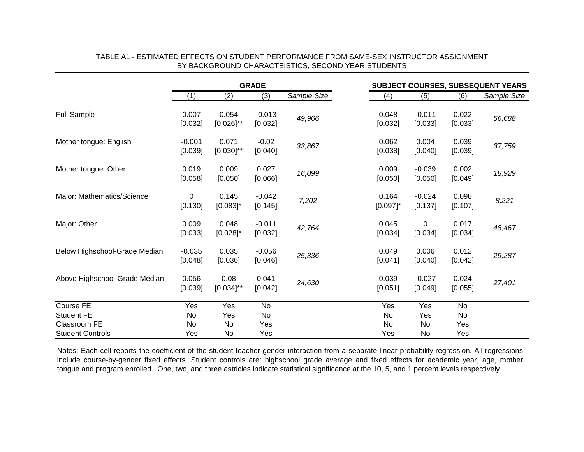|                               | <b>GRADE</b>           |                                 |                     |             | SUBJECT COURSES, SUBSEQUENT YEARS |                      |                      |                  |             |  |
|-------------------------------|------------------------|---------------------------------|---------------------|-------------|-----------------------------------|----------------------|----------------------|------------------|-------------|--|
|                               | (1)                    | (2)                             | (3)                 | Sample Size |                                   | (4)                  | (5)                  | (6)              | Sample Size |  |
| <b>Full Sample</b>            | 0.007<br>[0.032]       | 0.054<br>$[0.026]$ **           | $-0.013$<br>[0.032] | 49,966      |                                   | 0.048<br>[0.032]     | $-0.011$<br>[0.033]  | 0.022<br>[0.033] | 56,688      |  |
| Mother tongue: English        | $-0.001$<br>[0.039]    | 0.071<br>$[0.030]^{**}$         | $-0.02$<br>[0.040]  | 33,867      |                                   | 0.062<br>[0.038]     | 0.004<br>[0.040]     | 0.039<br>[0.039] | 37,759      |  |
| Mother tongue: Other          | 0.019<br>[0.058]       | 0.009<br>[0.050]                | 0.027<br>[0.066]    | 16,099      |                                   | 0.009<br>[0.050]     | $-0.039$<br>[0.050]  | 0.002<br>[0.049] | 18,929      |  |
| Major: Mathematics/Science    | $\mathbf 0$<br>[0.130] | 0.145<br>$[0.083]$ *            | $-0.042$<br>[0.145] | 7,202       |                                   | 0.164<br>$[0.097]$ * | $-0.024$<br>[0.137]  | 0.098<br>[0.107] | 8,221       |  |
| Major: Other                  | 0.009<br>[0.033]       | 0.048<br>$[0.028]$ <sup>*</sup> | $-0.011$<br>[0.032] | 42,764      |                                   | 0.045<br>[0.034]     | $\pmb{0}$<br>[0.034] | 0.017<br>[0.034] | 48,467      |  |
| Below Highschool-Grade Median | $-0.035$<br>[0.048]    | 0.035<br>[0.036]                | $-0.056$<br>[0.046] | 25,336      |                                   | 0.049<br>[0.041]     | 0.006<br>[0.040]     | 0.012<br>[0.042] | 29,287      |  |
| Above Highschool-Grade Median | 0.056<br>[0.039]       | 0.08<br>$[0.034]^{**}$          | 0.041<br>[0.042]    | 24,630      |                                   | 0.039<br>[0.051]     | $-0.027$<br>[0.049]  | 0.024<br>[0.055] | 27,401      |  |
| Course FE                     | Yes                    | Yes                             | No                  |             |                                   | Yes                  | Yes                  | No               |             |  |
| <b>Student FE</b>             | No                     | Yes                             | No                  |             |                                   | No                   | Yes                  | No               |             |  |
| <b>Classroom FE</b>           | No                     | No                              | Yes                 |             |                                   | No                   | No                   | Yes              |             |  |
| <b>Student Controls</b>       | Yes                    | No                              | Yes                 |             |                                   | Yes                  | No                   | Yes              |             |  |

#### TABLE A1 - ESTIMATED EFFECTS ON STUDENT PERFORMANCE FROM SAME-SEX INSTRUCTOR ASSIGNMENTBY BACKGROUND CHARACTEISTICS, SECOND YEAR STUDENTS

Notes: Each cell reports the coefficient of the student-teacher gender interaction from <sup>a</sup> separate linear probability regression. All regressions include course-by-gender fixed effects. Student controls are: highschool grade average and fixed effects for academic year, age, mother tongue and program enrolled. One, two, and three astricies indicate statistical significance at the 10, 5, and 1 percent levels respectively.